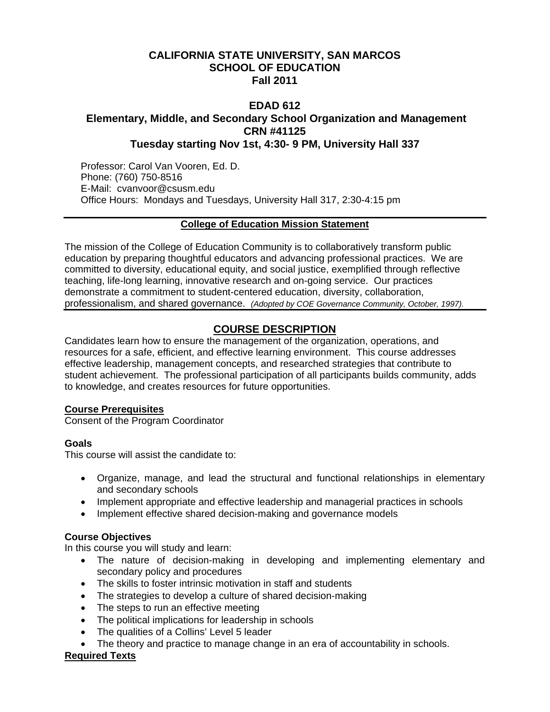# **CALIFORNIA STATE UNIVERSITY, SAN MARCOS SCHOOL OF EDUCATION Fall 2011**

## **EDAD 612 Elementary, Middle, and Secondary School Organization and Management CRN #41125 Tuesday starting Nov 1st, 4:30- 9 PM, University Hall 337**

Professor: Carol Van Vooren, Ed. D. Phone: (760) 750-8516 E-Mail: cvanvoor@csusm.edu Office Hours: Mondays and Tuesdays, University Hall 317, 2:30-4:15 pm

## **College of Education Mission Statement**

The mission of the College of Education Community is to collaboratively transform public education by preparing thoughtful educators and advancing professional practices. We are committed to diversity, educational equity, and social justice, exemplified through reflective teaching, life-long learning, innovative research and on-going service. Our practices demonstrate a commitment to student-centered education, diversity, collaboration, professionalism, and shared governance. *(Adopted by COE Governance Community, October, 1997).* 

# **COURSE DESCRIPTION**

Candidates learn how to ensure the management of the organization, operations, and resources for a safe, efficient, and effective learning environment. This course addresses effective leadership, management concepts, and researched strategies that contribute to student achievement. The professional participation of all participants builds community, adds to knowledge, and creates resources for future opportunities.

## **Course Prerequisites**

Consent of the Program Coordinator

## **Goals**

This course will assist the candidate to:

- Organize, manage, and lead the structural and functional relationships in elementary and secondary schools
- Implement appropriate and effective leadership and managerial practices in schools
- Implement effective shared decision-making and governance models

## **Course Objectives**

In this course you will study and learn:

- The nature of decision-making in developing and implementing elementary and secondary policy and procedures
- The skills to foster intrinsic motivation in staff and students
- The strategies to develop a culture of shared decision-making
- The steps to run an effective meeting
- The political implications for leadership in schools
- The qualities of a Collins' Level 5 leader
- The theory and practice to manage change in an era of accountability in schools.

## **Required Texts**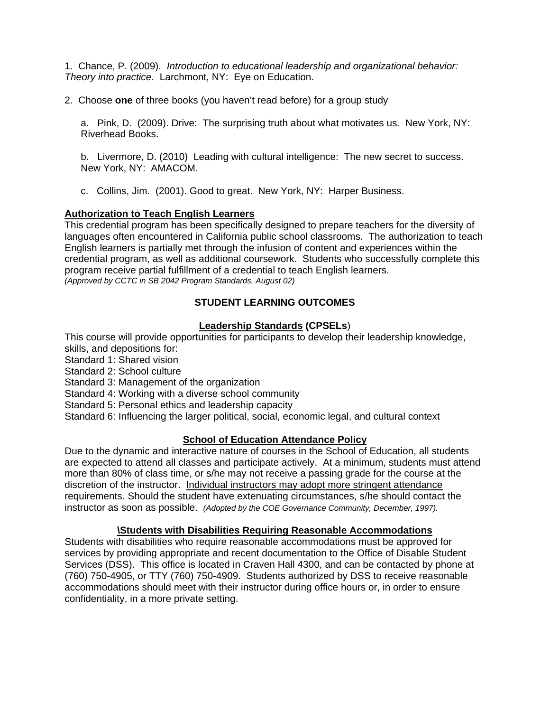1. Chance, P. (2009). *Introduction to educational leadership and organizational behavior: Theory into practice.* Larchmont, NY: Eye on Education.

2. Choose **one** of three books (you haven't read before) for a group study

a. Pink, D. (2009). Drive: The surprising truth about what motivates us*.* New York, NY: Riverhead Books.

b. Livermore, D. (2010) Leading with cultural intelligence: The new secret to success. New York, NY: AMACOM.

 c. Collins, Jim. (2001). Good to great. New York, NY: Harper Business.

#### **Authorization to Teach English Learners**

This credential program has been specifically designed to prepare teachers for the diversity of languages often encountered in California public school classrooms. The authorization to teach English learners is partially met through the infusion of content and experiences within the credential program, as well as additional coursework. Students who successfully complete this program receive partial fulfillment of a credential to teach English learners. *(Approved by CCTC in SB 2042 Program Standards, August 02)* 

## **STUDENT LEARNING OUTCOMES**

## **Leadership Standards (CPSELs**)

This course will provide opportunities for participants to develop their leadership knowledge, skills, and depositions for:

- Standard 1: Shared vision
- Standard 2: School culture
- Standard 3: Management of the organization
- Standard 4: Working with a diverse school community
- Standard 5: Personal ethics and leadership capacity

Standard 6: Influencing the larger political, social, economic legal, and cultural context

#### **School of Education Attendance Policy**

 instructor as soon as possible. *(Adopted by the COE Governance Community, December, 1997).* Due to the dynamic and interactive nature of courses in the School of Education, all students are expected to attend all classes and participate actively. At a minimum, students must attend more than 80% of class time, or s/he may not receive a passing grade for the course at the discretion of the instructor. Individual instructors may adopt more stringent attendance requirements. Should the student have extenuating circumstances, s/he should contact the

## **\Students with Disabilities Requiring Reasonable Accommodations**

Students with disabilities who require reasonable accommodations must be approved for services by providing appropriate and recent documentation to the Office of Disable Student Services (DSS). This office is located in Craven Hall 4300, and can be contacted by phone at (760) 750-4905, or TTY (760) 750-4909. Students authorized by DSS to receive reasonable accommodations should meet with their instructor during office hours or, in order to ensure confidentiality, in a more private setting.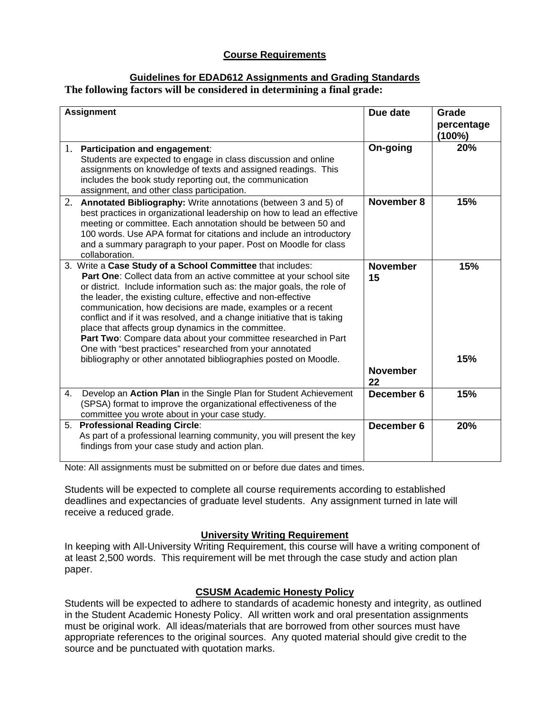## **Course Requirements**

#### **Guidelines for EDAD612 Assignments and Grading Standards The following factors will be considered in determining a final grade:**

| <b>Assignment</b> |                                                                                                                                                                                                                                                                                                                                                                                                                                                                                                                                                                                                                                                                                 | Due date                                 | Grade                   |
|-------------------|---------------------------------------------------------------------------------------------------------------------------------------------------------------------------------------------------------------------------------------------------------------------------------------------------------------------------------------------------------------------------------------------------------------------------------------------------------------------------------------------------------------------------------------------------------------------------------------------------------------------------------------------------------------------------------|------------------------------------------|-------------------------|
|                   |                                                                                                                                                                                                                                                                                                                                                                                                                                                                                                                                                                                                                                                                                 |                                          | percentage<br>$(100\%)$ |
| 1.                | <b>Participation and engagement:</b><br>Students are expected to engage in class discussion and online<br>assignments on knowledge of texts and assigned readings. This<br>includes the book study reporting out, the communication<br>assignment, and other class participation.                                                                                                                                                                                                                                                                                                                                                                                               | On-going                                 | 20%                     |
| 2.                | Annotated Bibliography: Write annotations (between 3 and 5) of<br>best practices in organizational leadership on how to lead an effective<br>meeting or committee. Each annotation should be between 50 and<br>100 words. Use APA format for citations and include an introductory<br>and a summary paragraph to your paper. Post on Moodle for class<br>collaboration.                                                                                                                                                                                                                                                                                                         | November 8                               | 15%                     |
|                   | 3. Write a Case Study of a School Committee that includes:<br>Part One: Collect data from an active committee at your school site<br>or district. Include information such as: the major goals, the role of<br>the leader, the existing culture, effective and non-effective<br>communication, how decisions are made, examples or a recent<br>conflict and if it was resolved, and a change initiative that is taking<br>place that affects group dynamics in the committee.<br>Part Two: Compare data about your committee researched in Part<br>One with "best practices" researched from your annotated<br>bibliography or other annotated bibliographies posted on Moodle. | <b>November</b><br>15<br><b>November</b> | 15%<br>15%              |
| 4.                | Develop an Action Plan in the Single Plan for Student Achievement<br>(SPSA) format to improve the organizational effectiveness of the<br>committee you wrote about in your case study.                                                                                                                                                                                                                                                                                                                                                                                                                                                                                          | 22<br>December 6                         | 15%                     |
|                   | 5. Professional Reading Circle:<br>As part of a professional learning community, you will present the key<br>findings from your case study and action plan.                                                                                                                                                                                                                                                                                                                                                                                                                                                                                                                     | December 6                               | 20%                     |

Note: All assignments must be submitted on or before due dates and times.

Students will be expected to complete all course requirements according to established deadlines and expectancies of graduate level students. Any assignment turned in late will receive a reduced grade.

## **University Writing Requirement**

In keeping with All-University Writing Requirement, this course will have a writing component of at least 2,500 words. This requirement will be met through the case study and action plan paper.

## **CSUSM Academic Honesty Policy**

Students will be expected to adhere to standards of academic honesty and integrity, as outlined in the Student Academic Honesty Policy. All written work and oral presentation assignments must be original work. All ideas/materials that are borrowed from other sources must have appropriate references to the original sources. Any quoted material should give credit to the source and be punctuated with quotation marks.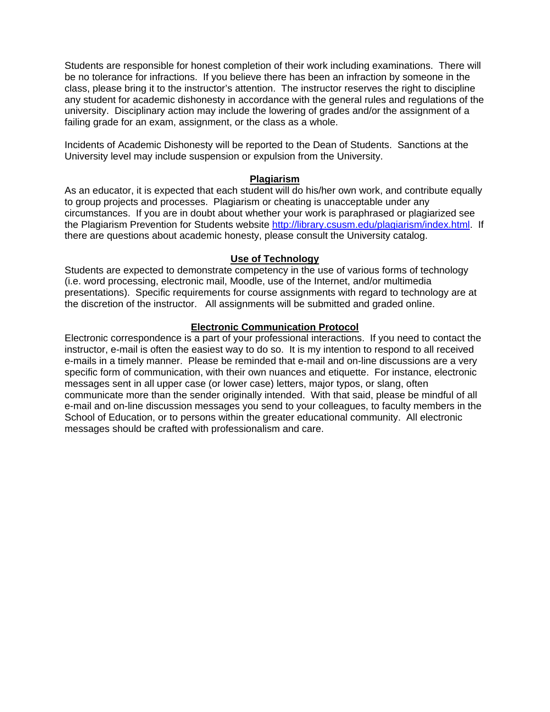Students are responsible for honest completion of their work including examinations. There will be no tolerance for infractions. If you believe there has been an infraction by someone in the class, please bring it to the instructor's attention. The instructor reserves the right to discipline any student for academic dishonesty in accordance with the general rules and regulations of the university. Disciplinary action may include the lowering of grades and/or the assignment of a failing grade for an exam, assignment, or the class as a whole.

Incidents of Academic Dishonesty will be reported to the Dean of Students. Sanctions at the University level may include suspension or expulsion from the University.

#### **Plagiarism**

As an educator, it is expected that each student will do his/her own work, and contribute equally to group projects and processes. Plagiarism or cheating is unacceptable under any circumstances. If you are in doubt about whether your work is paraphrased or plagiarized see the Plagiarism Prevention for Students website http://library.csusm.edu/plagiarism/index.html. If there are questions about academic honesty, please consult the University catalog.

#### **Use of Technology**

Students are expected to demonstrate competency in the use of various forms of technology (i.e. word processing, electronic mail, Moodle, use of the Internet, and/or multimedia presentations). Specific requirements for course assignments with regard to technology are at the discretion of the instructor. All assignments will be submitted and graded online.

#### **Electronic Communication Protocol**

Electronic correspondence is a part of your professional interactions. If you need to contact the instructor, e-mail is often the easiest way to do so. It is my intention to respond to all received e-mails in a timely manner. Please be reminded that e-mail and on-line discussions are a very specific form of communication, with their own nuances and etiquette. For instance, electronic messages sent in all upper case (or lower case) letters, major typos, or slang, often communicate more than the sender originally intended. With that said, please be mindful of all e-mail and on-line discussion messages you send to your colleagues, to faculty members in the School of Education, or to persons within the greater educational community. All electronic messages should be crafted with professionalism and care.